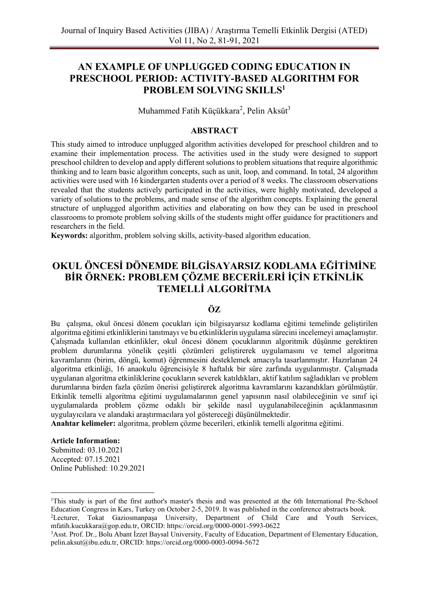# **AN EXAMPLE OF UNPLUGGED CODING EDUCATION IN PRESCHOOL PERIOD: ACTIVITY-BASED ALGORITHM FOR PROBLEM SOLVING SKILLS<sup>1</sup>**

Muhammed Fatih Küçükkara<sup>2</sup>, Pelin Aksüt<sup>3</sup>

## **ABSTRACT**

This study aimed to introduce unplugged algorithm activities developed for preschool children and to examine their implementation process. The activities used in the study were designed to support preschool children to develop and apply different solutions to problem situations that require algorithmic thinking and to learn basic algorithm concepts, such as unit, loop, and command. In total, 24 algorithm activities were used with 16 kindergarten students over a period of 8 weeks. The classroom observations revealed that the students actively participated in the activities, were highly motivated, developed a variety of solutions to the problems, and made sense of the algorithm concepts. Explaining the general structure of unplugged algorithm activities and elaborating on how they can be used in preschool classrooms to promote problem solving skills of the students might offer guidance for practitioners and researchers in the field.

**Keywords:** algorithm, problem solving skills, activity-based algorithm education.

# **OKUL ÖNCESİ DÖNEMDE BİLGİSAYARSIZ KODLAMA EĞİTİMİNE BİR ÖRNEK: PROBLEM ÇÖZME BECERİLERİ İÇİN ETKİNLİK TEMELLİ ALGORİTMA**

## **ÖZ**

Bu çalışma, okul öncesi dönem çocukları için bilgisayarsız kodlama eğitimi temelinde geliştirilen algoritma eğitimi etkinliklerini tanıtmayı ve bu etkinliklerin uygulama sürecini incelemeyi amaçlamıştır. Çalışmada kullanılan etkinlikler, okul öncesi dönem çocuklarının algoritmik düşünme gerektiren problem durumlarına yönelik çeşitli çözümleri geliştirerek uygulamasını ve temel algoritma kavramlarını (birim, döngü, komut) öğrenmesini desteklemek amacıyla tasarlanmıştır. Hazırlanan 24 algoritma etkinliği, 16 anaokulu öğrencisiyle 8 haftalık bir süre zarfında uygulanmıştır. Çalışmada uygulanan algoritma etkinliklerine çocukların severek katıldıkları, aktif katılım sağladıkları ve problem durumlarına birden fazla çözüm önerisi geliştirerek algoritma kavramlarını kazandıkları görülmüştür. Etkinlik temelli algoritma eğitimi uygulamalarının genel yapısının nasıl olabileceğinin ve sınıf içi uygulamalarda problem çözme odaklı bir şekilde nasıl uygulanabileceğinin açıklanmasının uygulayıcılara ve alandaki araştırmacılara yol göstereceği düşünülmektedir.

**Anahtar kelimeler:** algoritma, problem çözme becerileri, etkinlik temelli algoritma eğitimi.

#### **Article Information:**

Submitted: 03.10.2021 Accepted: 07.15.2021 Online Published: 10.29.2021

<sup>1</sup>This study is part of the first author's master's thesis and was presented at the 6th International Pre-School Education Congress in Kars, Turkey on October 2-5, 2019. It was published in the conference abstracts book.

<sup>2</sup>Lecturer, Tokat Gaziosmanpaşa University, Department of Child Care and Youth Services, [mfatih.kucukkara@gop.edu.tr,](mailto:mfatih.kucukkara@gop.edu.tr) ORCID: https://orcid.org/0000-0001-5993-0622

<sup>&</sup>lt;sup>3</sup>Asst. Prof. Dr., Bolu Abant İzzet Baysal University, Faculty of Education, Department of Elementary Education, [pelin.aksut@ibu.edu.tr,](mailto:pelin.aksut@ibu.edu.tr) ORCID: https://orcid.org/0000-0003-0094-5672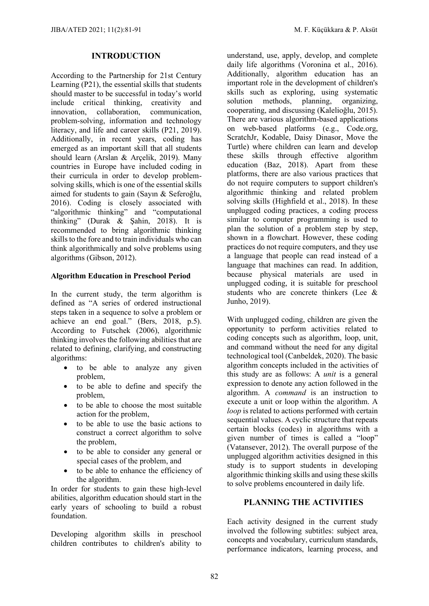#### **INTRODUCTION**

According to the Partnership for 21st Century Learning (P21), the essential skills that students should master to be successful in today's world include critical thinking, creativity and innovation, collaboration, communication, problem-solving, information and technology literacy, and life and career skills (P21, 2019). Additionally, in recent years, coding has emerged as an important skill that all students should learn (Arslan & Arçelik, 2019). Many countries in Europe have included coding in their curricula in order to develop problemsolving skills, which is one of the essential skills aimed for students to gain (Sayın & Seferoğlu, 2016). Coding is closely associated with "algorithmic thinking" and "computational thinking" (Durak & Şahin, 2018). It is recommended to bring algorithmic thinking skills to the fore and to train individuals who can think algorithmically and solve problems using algorithms (Gibson, 2012).

#### **Algorithm Education in Preschool Period**

In the current study, the term algorithm is defined as "A series of ordered instructional steps taken in a sequence to solve a problem or achieve an end goal." (Bers, 2018, p.5). According to Futschek (2006), algorithmic thinking involves the following abilities that are related to defining, clarifying, and constructing algorithms:

- to be able to analyze any given problem,
- to be able to define and specify the problem,
- to be able to choose the most suitable action for the problem,
- to be able to use the basic actions to construct a correct algorithm to solve the problem,
- to be able to consider any general or special cases of the problem, and
- to be able to enhance the efficiency of the algorithm.

In order for students to gain these high-level abilities, algorithm education should start in the early years of schooling to build a robust foundation.

Developing algorithm skills in preschool children contributes to children's ability to understand, use, apply, develop, and complete daily life algorithms (Voronina et al., 2016). Additionally, algorithm education has an important role in the development of children's skills such as exploring, using systematic solution methods, planning, organizing, cooperating, and discussing (Kalelioğlu, 2015). There are various algorithm-based applications on web-based platforms (e.g., Code.org, ScratchJr, Kodable, Daisy Dinasor, Move the Turtle) where children can learn and develop these skills through effective algorithm education (Baz, 2018). Apart from these platforms, there are also various practices that do not require computers to support children's algorithmic thinking and related problem solving skills (Highfield et al., 2018). In these unplugged coding practices, a coding process similar to computer programming is used to plan the solution of a problem step by step. shown in a flowchart. However, these coding practices do not require computers, and they use a language that people can read instead of a language that machines can read. In addition, because physical materials are used in unplugged coding, it is suitable for preschool students who are concrete thinkers (Lee & Junho, 2019).

With unplugged coding, children are given the opportunity to perform activities related to coding concepts such as algorithm, loop, unit, and command without the need for any digital technological tool (Canbeldek, 2020). The basic algorithm concepts included in the activities of this study are as follows: A *unit* is a general expression to denote any action followed in the algorithm. A *command* is an instruction to execute a unit or loop within the algorithm. A *loop* is related to actions performed with certain sequential values. A cyclic structure that repeats certain blocks (codes) in algorithms with a given number of times is called a "loop" (Vatansever, 2012). The overall purpose of the unplugged algorithm activities designed in this study is to support students in developing algorithmic thinking skills and using these skills to solve problems encountered in daily life.

## **PLANNING THE ACTIVITIES**

Each activity designed in the current study involved the following subtitles: subject area, concepts and vocabulary, curriculum standards, performance indicators, learning process, and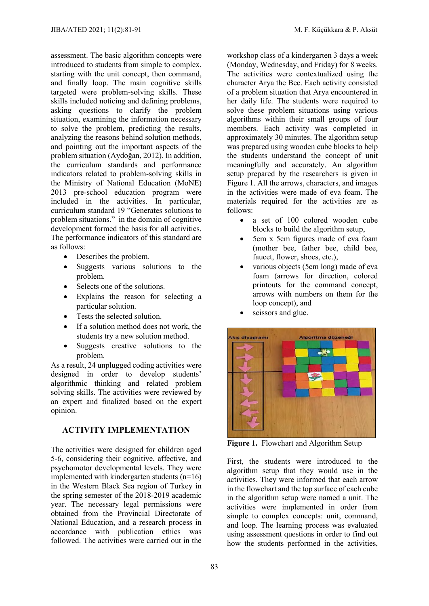assessment. The basic algorithm concepts were introduced to students from simple to complex, starting with the unit concept, then command, and finally loop. The main cognitive skills targeted were problem-solving skills. These skills included noticing and defining problems, asking questions to clarify the problem situation, examining the information necessary to solve the problem, predicting the results, analyzing the reasons behind solution methods, and pointing out the important aspects of the problem situation (Aydoğan, 2012). In addition, the curriculum standards and performance indicators related to problem-solving skills in the Ministry of National Education (MoNE) 2013 pre-school education program were included in the activities. In particular, curriculum standard 19 "Generates solutions to problem situations." in the domain of cognitive development formed the basis for all activities. The performance indicators of this standard are as follows:

- Describes the problem.
- Suggests various solutions to the problem.
- Selects one of the solutions.
- Explains the reason for selecting a particular solution.
- Tests the selected solution.
- If a solution method does not work, the students try a new solution method.
- Suggests creative solutions to the problem.

As a result, 24 unplugged coding activities were designed in order to develop students' algorithmic thinking and related problem solving skills. The activities were reviewed by an expert and finalized based on the expert opinion.

### **ACTIVITY IMPLEMENTATION**

The activities were designed for children aged 5-6, considering their cognitive, affective, and psychomotor developmental levels. They were implemented with kindergarten students (n=16) in the Western Black Sea region of Turkey in the spring semester of the 2018-2019 academic year. The necessary legal permissions were obtained from the Provincial Directorate of National Education, and a research process in accordance with publication ethics was followed. The activities were carried out in the

workshop class of a kindergarten 3 days a week (Monday, Wednesday, and Friday) for 8 weeks. The activities were contextualized using the character Arya the Bee. Each activity consisted of a problem situation that Arya encountered in her daily life. The students were required to solve these problem situations using various algorithms within their small groups of four members. Each activity was completed in approximately 30 minutes. The algorithm setup was prepared using wooden cube blocks to help the students understand the concept of unit meaningfully and accurately. An algorithm setup prepared by the researchers is given in Figure 1. All the arrows, characters, and images in the activities were made of eva foam. The materials required for the activities are as follows:

- a set of 100 colored wooden cube blocks to build the algorithm setup,
- 5cm x 5cm figures made of eva foam (mother bee, father bee, child bee, faucet, flower, shoes, etc.),
- various objects (5cm long) made of eva foam (arrows for direction, colored printouts for the command concept, arrows with numbers on them for the loop concept), and
- scissors and glue.



**Figure 1.** Flowchart and Algorithm Setup

First, the students were introduced to the algorithm setup that they would use in the activities. They were informed that each arrow in the flowchart and the top surface of each cube in the algorithm setup were named a unit. The activities were implemented in order from simple to complex concepts: unit, command, and loop. The learning process was evaluated using assessment questions in order to find out how the students performed in the activities,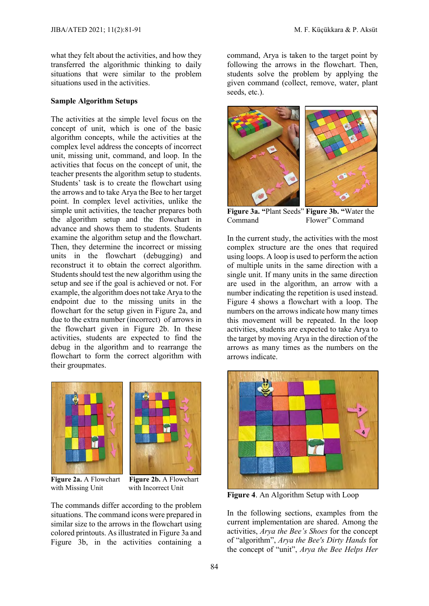what they felt about the activities, and how they transferred the algorithmic thinking to daily situations that were similar to the problem situations used in the activities.

#### **Sample Algorithm Setups**

The activities at the simple level focus on the concept of unit, which is one of the basic algorithm concepts, while the activities at the complex level address the concepts of incorrect unit, missing unit, command, and loop. In the activities that focus on the concept of unit, the teacher presents the algorithm setup to students. Students' task is to create the flowchart using the arrows and to take Arya the Bee to her target point. In complex level activities, unlike the simple unit activities, the teacher prepares both the algorithm setup and the flowchart in advance and shows them to students. Students examine the algorithm setup and the flowchart. Then, they determine the incorrect or missing units in the flowchart (debugging) and reconstruct it to obtain the correct algorithm. Students should test the new algorithm using the setup and see if the goal is achieved or not. For example, the algorithm does not take Arya to the endpoint due to the missing units in the flowchart for the setup given in Figure 2a, and due to the extra number (incorrect) of arrows in the flowchart given in Figure 2b. In these activities, students are expected to find the debug in the algorithm and to rearrange the flowchart to form the correct algorithm with their groupmates.



**Figure 2a.** A Flowchart **Figure 2b.** A Flowchart with Missing Unit with Incorrect Unit with Missing Unit

The commands differ according to the problem situations. The command icons were prepared in similar size to the arrows in the flowchart using colored printouts. As illustrated in Figure 3a and Figure 3b, in the activities containing a

command, Arya is taken to the target point by following the arrows in the flowchart. Then, students solve the problem by applying the given command (collect, remove, water, plant seeds, etc.).



**Figure 3a. "**Plant Seeds" **Figure 3b. "**Water the Command Flower" Command

In the current study, the activities with the most complex structure are the ones that required using loops. A loop is used to perform the action of multiple units in the same direction with a single unit. If many units in the same direction are used in the algorithm, an arrow with a number indicating the repetition is used instead. Figure 4 shows a flowchart with a loop. The numbers on the arrows indicate how many times this movement will be repeated. In the loop activities, students are expected to take Arya to the target by moving Arya in the direction of the arrows as many times as the numbers on the arrows indicate.



**Figure 4**. An Algorithm Setup with Loop

In the following sections, examples from the current implementation are shared. Among the activities, *Arya the Bee's Shoes* for the concept of "algorithm", *Arya the Bee's Dirty Hands* for the concept of "unit", *Arya the Bee Helps Her*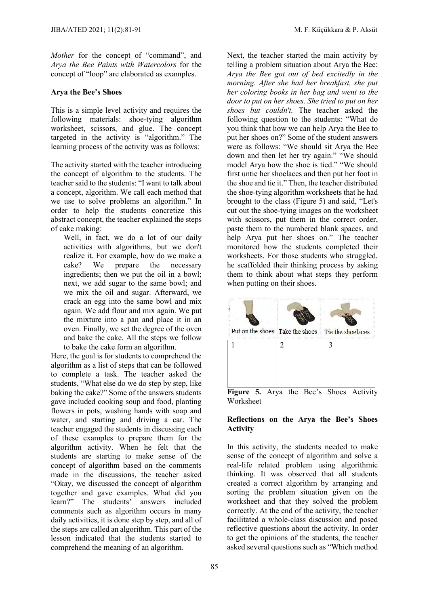*Mother* for the concept of "command", and *Arya the Bee Paints with Watercolors* for the concept of "loop" are elaborated as examples.

#### **Arya the Bee's Shoes**

This is a simple level activity and requires the following materials: shoe-tying algorithm worksheet, scissors, and glue. The concept targeted in the activity is "algorithm." The learning process of the activity was as follows:

The activity started with the teacher introducing the concept of algorithm to the students. The teacher said to the students: "I want to talk about a concept, algorithm. We call each method that we use to solve problems an algorithm." In order to help the students concretize this abstract concept, the teacher explained the steps of cake making:

Well, in fact, we do a lot of our daily activities with algorithms, but we don't realize it. For example, how do we make a cake? We prepare the necessary ingredients; then we put the oil in a bowl; next, we add sugar to the same bowl; and we mix the oil and sugar. Afterward, we crack an egg into the same bowl and mix again. We add flour and mix again. We put the mixture into a pan and place it in an oven. Finally, we set the degree of the oven and bake the cake. All the steps we follow to bake the cake form an algorithm.

Here, the goal is for students to comprehend the algorithm as a list of steps that can be followed to complete a task. The teacher asked the students, "What else do we do step by step, like baking the cake?" Some of the answers students gave included cooking soup and food, planting flowers in pots, washing hands with soap and water, and starting and driving a car. The teacher engaged the students in discussing each of these examples to prepare them for the algorithm activity. When he felt that the students are starting to make sense of the concept of algorithm based on the comments made in the discussions, the teacher asked "Okay, we discussed the concept of algorithm together and gave examples. What did you learn?" The students' answers included comments such as algorithm occurs in many daily activities, it is done step by step, and all of the steps are called an algorithm. This part of the lesson indicated that the students started to comprehend the meaning of an algorithm.

Next, the teacher started the main activity by telling a problem situation about Arya the Bee: *Arya the Bee got out of bed excitedly in the morning. After she had her breakfast, she put her coloring books in her bag and went to the door to put on her shoes. She tried to put on her shoes but couldn't.* The teacher asked the following question to the students: "What do you think that how we can help Arya the Bee to put her shoes on?" Some of the student answers were as follows: "We should sit Arya the Bee down and then let her try again." "We should model Arya how the shoe is tied." "We should first untie her shoelaces and then put her foot in the shoe and tie it." Then, the teacher distributed the shoe-tying algorithm worksheets that he had brought to the class (Figure 5) and said, "Let's cut out the shoe-tying images on the worksheet with scissors, put them in the correct order, paste them to the numbered blank spaces, and help Arya put her shoes on." The teacher monitored how the students completed their worksheets. For those students who struggled, he scaffolded their thinking process by asking them to think about what steps they perform when putting on their shoes.



Worksheet

#### **Reflections on the Arya the Bee's Shoes Activity**

In this activity, the students needed to make sense of the concept of algorithm and solve a real-life related problem using algorithmic thinking. It was observed that all students created a correct algorithm by arranging and sorting the problem situation given on the worksheet and that they solved the problem correctly. At the end of the activity, the teacher facilitated a whole-class discussion and posed reflective questions about the activity. In order to get the opinions of the students, the teacher asked several questions such as "Which method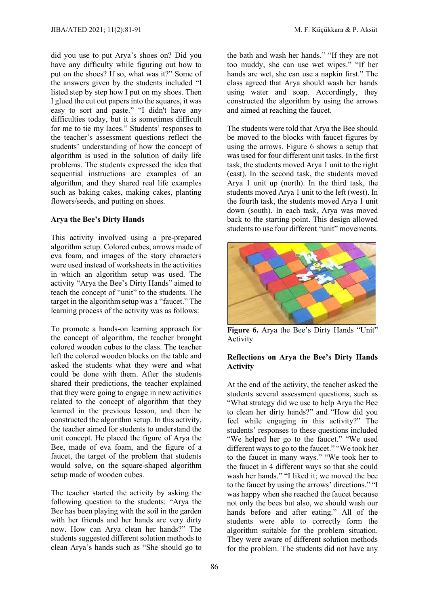did you use to put Arya's shoes on? Did you have any difficulty while figuring out how to put on the shoes? If so, what was it?" Some of the answers given by the students included "I listed step by step how I put on my shoes. Then I glued the cut out papers into the squares, it was easy to sort and paste." "I didn't have any difficulties today, but it is sometimes difficult for me to tie my laces." Students' responses to the teacher's assessment questions reflect the students' understanding of how the concept of algorithm is used in the solution of daily life problems. The students expressed the idea that sequential instructions are examples of an algorithm, and they shared real life examples such as baking cakes, making cakes, planting flowers/seeds, and putting on shoes.

#### **Arya the Bee's Dirty Hands**

This activity involved using a pre-prepared algorithm setup. Colored cubes, arrows made of eva foam, and images of the story characters were used instead of worksheets in the activities in which an algorithm setup was used. The activity "Arya the Bee's Dirty Hands" aimed to teach the concept of "unit" to the students. The target in the algorithm setup was a "faucet." The learning process of the activity was as follows:

To promote a hands-on learning approach for the concept of algorithm, the teacher brought colored wooden cubes to the class. The teacher left the colored wooden blocks on the table and asked the students what they were and what could be done with them. After the students shared their predictions, the teacher explained that they were going to engage in new activities related to the concept of algorithm that they learned in the previous lesson, and then he constructed the algorithm setup. In this activity, the teacher aimed for students to understand the unit concept. He placed the figure of Arya the Bee, made of eva foam, and the figure of a faucet, the target of the problem that students would solve, on the square-shaped algorithm setup made of wooden cubes.

The teacher started the activity by asking the following question to the students: "Arya the Bee has been playing with the soil in the garden with her friends and her hands are very dirty now. How can Arya clean her hands?" The students suggested different solution methods to clean Arya's hands such as "She should go to

the bath and wash her hands." "If they are not too muddy, she can use wet wipes." "If her hands are wet, she can use a napkin first." The class agreed that Arya should wash her hands using water and soap. Accordingly, they constructed the algorithm by using the arrows and aimed at reaching the faucet.

The students were told that Arya the Bee should be moved to the blocks with faucet figures by using the arrows. Figure 6 shows a setup that was used for four different unit tasks. In the first task, the students moved Arya 1 unit to the right (east). In the second task, the students moved Arya 1 unit up (north). In the third task, the students moved Arya 1 unit to the left (west). In the fourth task, the students moved Arya 1 unit down (south). In each task, Arya was moved back to the starting point. This design allowed students to use four different "unit" movements.



**Figure 6.** Arya the Bee's Dirty Hands "Unit" Activity

#### **Reflections on Arya the Bee's Dirty Hands Activity**

At the end of the activity, the teacher asked the students several assessment questions, such as "What strategy did we use to help Arya the Bee to clean her dirty hands?" and "How did you feel while engaging in this activity?" The students' responses to these questions included "We helped her go to the faucet." "We used different ways to go to the faucet." "We took her to the faucet in many ways." "We took her to the faucet in 4 different ways so that she could wash her hands." "I liked it; we moved the bee to the faucet by using the arrows' directions." "I was happy when she reached the faucet because not only the bees but also, we should wash our hands before and after eating." All of the students were able to correctly form the algorithm suitable for the problem situation. They were aware of different solution methods for the problem. The students did not have any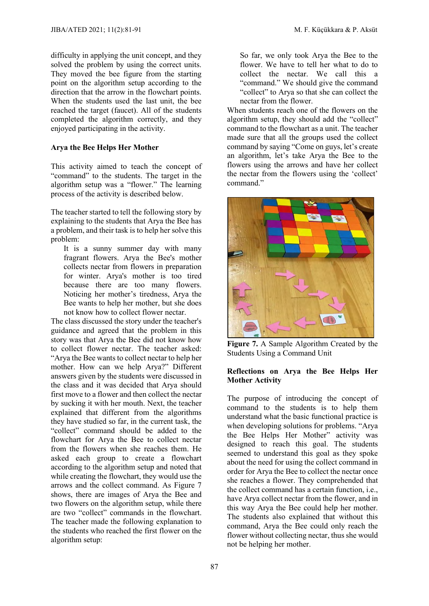difficulty in applying the unit concept, and they solved the problem by using the correct units. They moved the bee figure from the starting point on the algorithm setup according to the direction that the arrow in the flowchart points. When the students used the last unit, the bee reached the target (faucet). All of the students completed the algorithm correctly, and they enjoyed participating in the activity.

#### **Arya the Bee Helps Her Mother**

This activity aimed to teach the concept of "command" to the students. The target in the algorithm setup was a "flower." The learning process of the activity is described below.

The teacher started to tell the following story by explaining to the students that Arya the Bee has a problem, and their task is to help her solve this problem:

It is a sunny summer day with many fragrant flowers. Arya the Bee's mother collects nectar from flowers in preparation for winter. Arya's mother is too tired because there are too many flowers. Noticing her mother's tiredness, Arya the Bee wants to help her mother, but she does not know how to collect flower nectar.

The class discussed the story under the teacher's guidance and agreed that the problem in this story was that Arya the Bee did not know how to collect flower nectar. The teacher asked: "Arya the Bee wants to collect nectar to help her mother. How can we help Arya?" Different answers given by the students were discussed in the class and it was decided that Arya should first move to a flower and then collect the nectar by sucking it with her mouth. Next, the teacher explained that different from the algorithms they have studied so far, in the current task, the "collect" command should be added to the flowchart for Arya the Bee to collect nectar from the flowers when she reaches them. He asked each group to create a flowchart according to the algorithm setup and noted that while creating the flowchart, they would use the arrows and the collect command. As Figure 7 shows, there are images of Arya the Bee and two flowers on the algorithm setup, while there are two "collect" commands in the flowchart. The teacher made the following explanation to the students who reached the first flower on the algorithm setup:

So far, we only took Arya the Bee to the flower. We have to tell her what to do to collect the nectar. We call this a "command." We should give the command "collect" to Arya so that she can collect the nectar from the flower.

When students reach one of the flowers on the algorithm setup, they should add the "collect" command to the flowchart as a unit. The teacher made sure that all the groups used the collect command by saying "Come on guys, let's create an algorithm, let's take Arya the Bee to the flowers using the arrows and have her collect the nectar from the flowers using the 'collect' command."



**Figure 7.** A Sample Algorithm Created by the Students Using a Command Unit

#### **Reflections on Arya the Bee Helps Her Mother Activity**

The purpose of introducing the concept of command to the students is to help them understand what the basic functional practice is when developing solutions for problems. "Arya the Bee Helps Her Mother" activity was designed to reach this goal. The students seemed to understand this goal as they spoke about the need for using the collect command in order for Arya the Bee to collect the nectar once she reaches a flower. They comprehended that the collect command has a certain function, i.e., have Arya collect nectar from the flower, and in this way Arya the Bee could help her mother. The students also explained that without this command, Arya the Bee could only reach the flower without collecting nectar, thus she would not be helping her mother.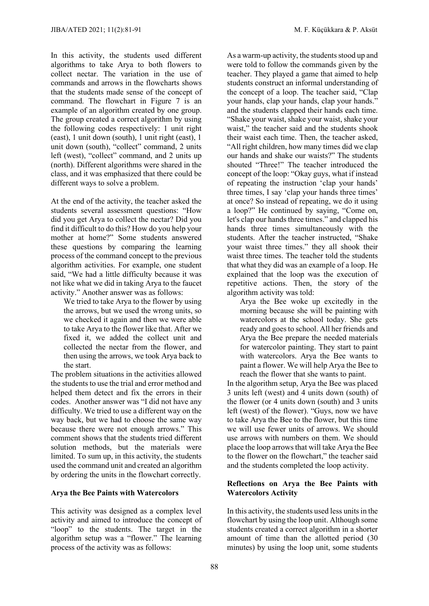In this activity, the students used different algorithms to take Arya to both flowers to collect nectar. The variation in the use of commands and arrows in the flowcharts shows that the students made sense of the concept of command. The flowchart in Figure 7 is an example of an algorithm created by one group. The group created a correct algorithm by using the following codes respectively: 1 unit right (east), 1 unit down (south), 1 unit right (east), 1 unit down (south), "collect" command, 2 units left (west), "collect" command, and 2 units up (north). Different algorithms were shared in the class, and it was emphasized that there could be different ways to solve a problem.

At the end of the activity, the teacher asked the students several assessment questions: "How did you get Arya to collect the nectar? Did you find it difficult to do this? How do you help your mother at home?" Some students answered these questions by comparing the learning process of the command concept to the previous algorithm activities. For example, one student said, "We had a little difficulty because it was not like what we did in taking Arya to the faucet activity." Another answer was as follows:

We tried to take Arya to the flower by using the arrows, but we used the wrong units, so we checked it again and then we were able to take Arya to the flower like that. After we fixed it, we added the collect unit and collected the nectar from the flower, and then using the arrows, we took Arya back to the start.

The problem situations in the activities allowed the students to use the trial and error method and helped them detect and fix the errors in their codes. Another answer was "I did not have any difficulty. We tried to use a different way on the way back, but we had to choose the same way because there were not enough arrows." This comment shows that the students tried different solution methods, but the materials were limited. To sum up, in this activity, the students used the command unit and created an algorithm by ordering the units in the flowchart correctly.

#### **Arya the Bee Paints with Watercolors**

This activity was designed as a complex level activity and aimed to introduce the concept of "loop" to the students. The target in the algorithm setup was a "flower." The learning process of the activity was as follows:

As a warm-up activity, the students stood up and were told to follow the commands given by the teacher. They played a game that aimed to help students construct an informal understanding of the concept of a loop. The teacher said, "Clap your hands, clap your hands, clap your hands." and the students clapped their hands each time. "Shake your waist, shake your waist, shake your waist," the teacher said and the students shook their waist each time. Then, the teacher asked, "All right children, how many times did we clap our hands and shake our waists?" The students shouted "Three!" The teacher introduced the concept of the loop: "Okay guys, what if instead of repeating the instruction 'clap your hands' three times, I say 'clap your hands three times' at once? So instead of repeating, we do it using a loop?" He continued by saying, "Come on, let's clap our hands three times." and clapped his hands three times simultaneously with the students. After the teacher instructed, "Shake your waist three times." they all shook their waist three times. The teacher told the students that what they did was an example of a loop. He explained that the loop was the execution of repetitive actions. Then, the story of the algorithm activity was told:

Arya the Bee woke up excitedly in the morning because she will be painting with watercolors at the school today. She gets ready and goesto school. All her friends and Arya the Bee prepare the needed materials for watercolor painting. They start to paint with watercolors. Arya the Bee wants to paint a flower. We will help Arya the Bee to reach the flower that she wants to paint.

In the algorithm setup, Arya the Bee was placed 3 units left (west) and 4 units down (south) of the flower (or 4 units down (south) and 3 units left (west) of the flower). "Guys, now we have to take Arya the Bee to the flower, but this time we will use fewer units of arrows. We should use arrows with numbers on them. We should place the loop arrows that will take Arya the Bee to the flower on the flowchart," the teacher said and the students completed the loop activity.

#### **Reflections on Arya the Bee Paints with Watercolors Activity**

In this activity, the students used less units in the flowchart by using the loop unit. Although some students created a correct algorithm in a shorter amount of time than the allotted period (30 minutes) by using the loop unit, some students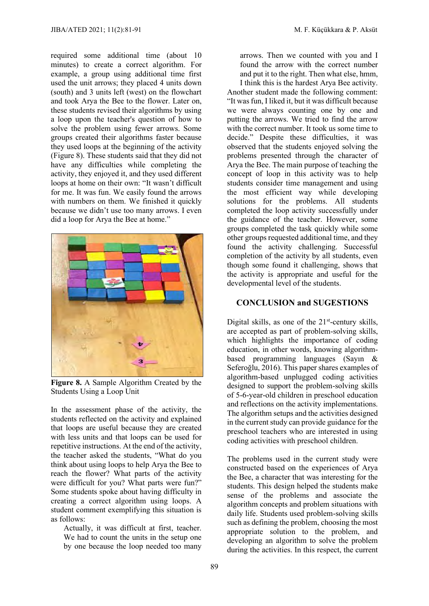required some additional time (about 10 minutes) to create a correct algorithm. For example, a group using additional time first used the unit arrows; they placed 4 units down (south) and 3 units left (west) on the flowchart and took Arya the Bee to the flower. Later on, these students revised their algorithms by using a loop upon the teacher's question of how to solve the problem using fewer arrows. Some groups created their algorithms faster because they used loops at the beginning of the activity (Figure 8). These students said that they did not have any difficulties while completing the activity, they enjoyed it, and they used different loops at home on their own: "It wasn't difficult for me. It was fun. We easily found the arrows with numbers on them. We finished it quickly because we didn't use too many arrows. I even did a loop for Arya the Bee at home."



**Figure 8.** A Sample Algorithm Created by the Students Using a Loop Unit

In the assessment phase of the activity, the students reflected on the activity and explained that loops are useful because they are created with less units and that loops can be used for repetitive instructions. At the end of the activity, the teacher asked the students, "What do you think about using loops to help Arya the Bee to reach the flower? What parts of the activity were difficult for you? What parts were fun?" Some students spoke about having difficulty in creating a correct algorithm using loops. A student comment exemplifying this situation is as follows:

Actually, it was difficult at first, teacher. We had to count the units in the setup one by one because the loop needed too many arrows. Then we counted with you and I found the arrow with the correct number and put it to the right. Then what else, hmm,

I think this is the hardest Arya Bee activity. Another student made the following comment: "It was fun, I liked it, but it was difficult because we were always counting one by one and putting the arrows. We tried to find the arrow with the correct number. It took us some time to decide." Despite these difficulties, it was observed that the students enjoyed solving the problems presented through the character of Arya the Bee. The main purpose of teaching the concept of loop in this activity was to help students consider time management and using the most efficient way while developing solutions for the problems. All students completed the loop activity successfully under the guidance of the teacher. However, some groups completed the task quickly while some other groups requested additional time, and they found the activity challenging. Successful completion of the activity by all students, even though some found it challenging, shows that the activity is appropriate and useful for the developmental level of the students.

#### **CONCLUSION and SUGESTIONS**

Digital skills, as one of the  $21<sup>st</sup>$ -century skills, are accepted as part of problem-solving skills, which highlights the importance of coding education, in other words, knowing algorithmbased programming languages (Sayın & Seferoğlu, 2016). This paper shares examples of algorithm-based unplugged coding activities designed to support the problem-solving skills of 5-6-year-old children in preschool education and reflections on the activity implementations. The algorithm setups and the activities designed in the current study can provide guidance for the preschool teachers who are interested in using coding activities with preschool children.

The problems used in the current study were constructed based on the experiences of Arya the Bee, a character that was interesting for the students. This design helped the students make sense of the problems and associate the algorithm concepts and problem situations with daily life. Students used problem-solving skills such as defining the problem, choosing the most appropriate solution to the problem, and developing an algorithm to solve the problem during the activities. In this respect, the current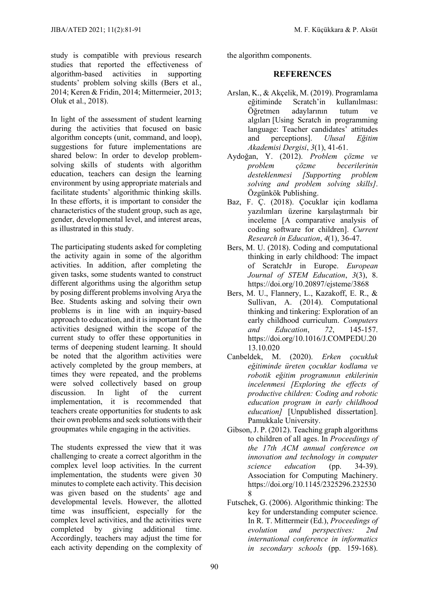study is compatible with previous research studies that reported the effectiveness of algorithm-based activities in supporting students' problem solving skills (Bers et al., 2014; Keren & Fridin, 2014; Mittermeier, 2013; Oluk et al., 2018).

In light of the assessment of student learning during the activities that focused on basic algorithm concepts (unit, command, and loop), suggestions for future implementations are shared below: In order to develop problemsolving skills of students with algorithm education, teachers can design the learning environment by using appropriate materials and facilitate students' algorithmic thinking skills. In these efforts, it is important to consider the characteristics of the student group, such as age, gender, developmental level, and interest areas, as illustrated in this study.

The participating students asked for completing the activity again in some of the algorithm activities. In addition, after completing the given tasks, some students wanted to construct different algorithms using the algorithm setup by posing different problems involving Arya the Bee. Students asking and solving their own problems is in line with an inquiry-based approach to education, and it is important for the activities designed within the scope of the current study to offer these opportunities in terms of deepening student learning. It should be noted that the algorithm activities were actively completed by the group members, at times they were repeated, and the problems were solved collectively based on group discussion. In light of the current implementation, it is recommended that teachers create opportunities for students to ask their own problems and seek solutions with their groupmates while engaging in the activities.

The students expressed the view that it was challenging to create a correct algorithm in the complex level loop activities. In the current implementation, the students were given 30 minutes to complete each activity. This decision was given based on the students' age and developmental levels. However, the allotted time was insufficient, especially for the complex level activities, and the activities were completed by giving additional time. Accordingly, teachers may adjust the time for each activity depending on the complexity of the algorithm components.

#### **REFERENCES**

- Arslan, K., & Akçelik, M. (2019). Programlama eğitiminde Scratch'in kullanılması: Öğretmen adaylarının tutum ve algıları [Using Scratch in programming language: Teacher candidates' attitudes and perceptions]. *Ulusal Eğitim Akademisi Dergisi*, *3*(1), 41-61.
- Aydoğan, Y. (2012). *Problem çözme ve problem çözme becerilerinin desteklenmesi [Supporting problem solving and problem solving skills]*. Özgünkök Publishing.
- Baz, F. Ç. (2018). Çocuklar için kodlama yazılımları üzerine karşılaştırmalı bir inceleme [A comparative analysis of coding software for children]. *Current Research in Education*, *4*(1), 36-47.
- Bers, M. U. (2018). Coding and computational thinking in early childhood: The impact of ScratchJr in Europe. *European Journal of STEM Education*, *3*(3), 8. https://doi.org/10.20897/ejsteme/3868
- Bers, M. U., Flannery, L., Kazakoff, E. R., & Sullivan, A. (2014). Computational thinking and tinkering: Exploration of an early childhood curriculum. *Computers and Education*, *72*, 145-157. https://doi.org/10.1016/J.COMPEDU.20 13.10.020
- Canbeldek, M. (2020). *Erken çocukluk eğitiminde üreten çocuklar kodlama ve robotik eğitim programının etkilerinin incelenmesi [Exploring the effects of productive children: Coding and robotic education program in early childhood education]* [Unpublished dissertation]. Pamukkale University.
- Gibson, J. P. (2012). Teaching graph algorithms to children of all ages. In *Proceedings of the 17th ACM annual conference on innovation and technology in computer science education* (pp. 34-39). Association for Computing Machinery. https://doi.org/10.1145/2325296.232530 8
- Futschek, G. (2006). Algorithmic thinking: The key for understanding computer science. In R. T. Mittermeir (Ed.), *Proceedings of evolution and perspectives: 2nd international conference in informatics in secondary schools* (pp. 159-168).